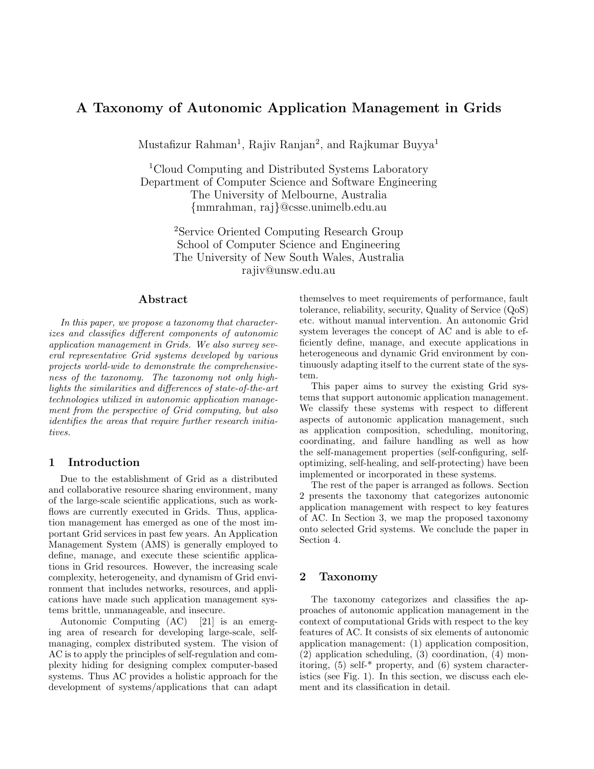# A Taxonomy of Autonomic Application Management in Grids

Mustafizur Rahman<sup>1</sup>, Rajiv Ranjan<sup>2</sup>, and Rajkumar Buyya<sup>1</sup>

<sup>1</sup>Cloud Computing and Distributed Systems Laboratory Department of Computer Science and Software Engineering The University of Melbourne, Australia {mmrahman, raj}@csse.unimelb.edu.au

> <sup>2</sup>Service Oriented Computing Research Group School of Computer Science and Engineering The University of New South Wales, Australia rajiv@unsw.edu.au

## Abstract

In this paper, we propose a taxonomy that characterizes and classifies different components of autonomic application management in Grids. We also survey several representative Grid systems developed by various projects world-wide to demonstrate the comprehensiveness of the taxonomy. The taxonomy not only highlights the similarities and differences of state-of-the-art technologies utilized in autonomic application management from the perspective of Grid computing, but also identifies the areas that require further research initiatives.

## 1 Introduction

Due to the establishment of Grid as a distributed and collaborative resource sharing environment, many of the large-scale scientific applications, such as workflows are currently executed in Grids. Thus, application management has emerged as one of the most important Grid services in past few years. An Application Management System (AMS) is generally employed to define, manage, and execute these scientific applications in Grid resources. However, the increasing scale complexity, heterogeneity, and dynamism of Grid environment that includes networks, resources, and applications have made such application management systems brittle, unmanageable, and insecure.

Autonomic Computing (AC) [21] is an emerging area of research for developing large-scale, selfmanaging, complex distributed system. The vision of AC is to apply the principles of self-regulation and complexity hiding for designing complex computer-based systems. Thus AC provides a holistic approach for the development of systems/applications that can adapt

themselves to meet requirements of performance, fault tolerance, reliability, security, Quality of Service (QoS) etc. without manual intervention. An autonomic Grid system leverages the concept of AC and is able to efficiently define, manage, and execute applications in heterogeneous and dynamic Grid environment by continuously adapting itself to the current state of the system.

This paper aims to survey the existing Grid systems that support autonomic application management. We classify these systems with respect to different aspects of autonomic application management, such as application composition, scheduling, monitoring, coordinating, and failure handling as well as how the self-management properties (self-configuring, selfoptimizing, self-healing, and self-protecting) have been implemented or incorporated in these systems.

The rest of the paper is arranged as follows. Section 2 presents the taxonomy that categorizes autonomic application management with respect to key features of AC. In Section 3, we map the proposed taxonomy onto selected Grid systems. We conclude the paper in Section 4.

## 2 Taxonomy

The taxonomy categorizes and classifies the approaches of autonomic application management in the context of computational Grids with respect to the key features of AC. It consists of six elements of autonomic application management: (1) application composition, (2) application scheduling, (3) coordination, (4) monitoring, (5) self-\* property, and (6) system characteristics (see Fig. 1). In this section, we discuss each element and its classification in detail.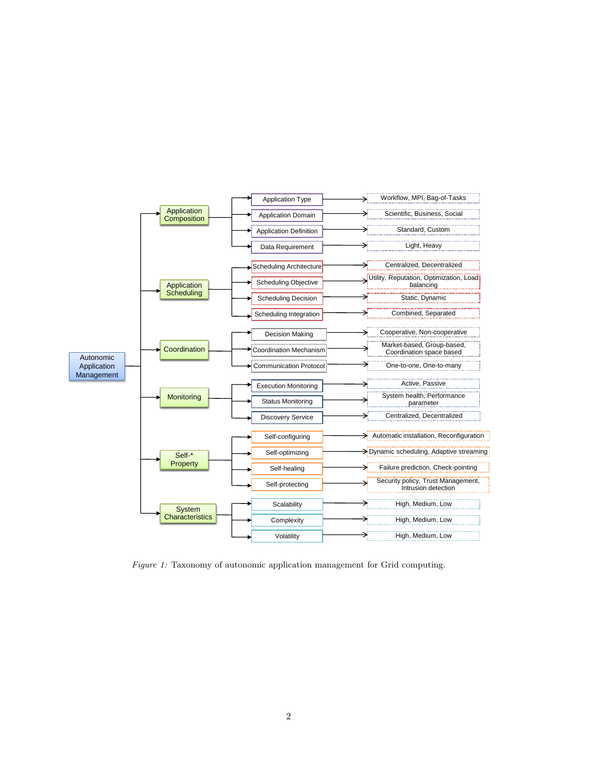

Figure 1: Taxonomy of autonomic application management for Grid computing.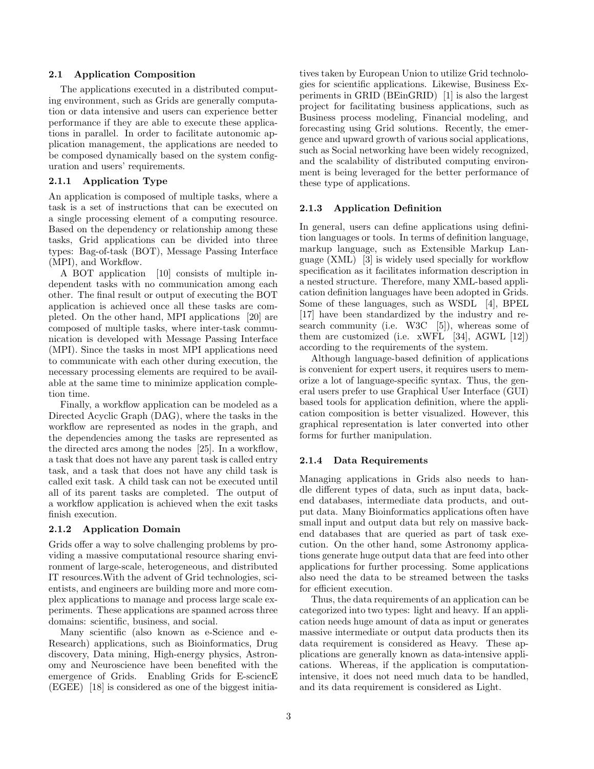## 2.1 Application Composition

The applications executed in a distributed computing environment, such as Grids are generally computation or data intensive and users can experience better performance if they are able to execute these applications in parallel. In order to facilitate autonomic application management, the applications are needed to be composed dynamically based on the system configuration and users' requirements.

## 2.1.1 Application Type

An application is composed of multiple tasks, where a task is a set of instructions that can be executed on a single processing element of a computing resource. Based on the dependency or relationship among these tasks, Grid applications can be divided into three types: Bag-of-task (BOT), Message Passing Interface (MPI), and Workflow.

A BOT application [10] consists of multiple independent tasks with no communication among each other. The final result or output of executing the BOT application is achieved once all these tasks are completed. On the other hand, MPI applications [20] are composed of multiple tasks, where inter-task communication is developed with Message Passing Interface (MPI). Since the tasks in most MPI applications need to communicate with each other during execution, the necessary processing elements are required to be available at the same time to minimize application completion time.

Finally, a workflow application can be modeled as a Directed Acyclic Graph (DAG), where the tasks in the workflow are represented as nodes in the graph, and the dependencies among the tasks are represented as the directed arcs among the nodes [25]. In a workflow, a task that does not have any parent task is called entry task, and a task that does not have any child task is called exit task. A child task can not be executed until all of its parent tasks are completed. The output of a workflow application is achieved when the exit tasks finish execution.

## 2.1.2 Application Domain

Grids offer a way to solve challenging problems by providing a massive computational resource sharing environment of large-scale, heterogeneous, and distributed IT resources.With the advent of Grid technologies, scientists, and engineers are building more and more complex applications to manage and process large scale experiments. These applications are spanned across three domains: scientific, business, and social.

Many scientific (also known as e-Science and e-Research) applications, such as Bioinformatics, Drug discovery, Data mining, High-energy physics, Astronomy and Neuroscience have been benefited with the emergence of Grids. Enabling Grids for E-sciencE (EGEE) [18] is considered as one of the biggest initiatives taken by European Union to utilize Grid technologies for scientific applications. Likewise, Business Experiments in GRID (BEinGRID) [1] is also the largest project for facilitating business applications, such as Business process modeling, Financial modeling, and forecasting using Grid solutions. Recently, the emergence and upward growth of various social applications, such as Social networking have been widely recognized, and the scalability of distributed computing environment is being leveraged for the better performance of these type of applications.

#### 2.1.3 Application Definition

In general, users can define applications using definition languages or tools. In terms of definition language, markup language, such as Extensible Markup Language (XML) [3] is widely used specially for workflow specification as it facilitates information description in a nested structure. Therefore, many XML-based application definition languages have been adopted in Grids. Some of these languages, such as WSDL [4], BPEL [17] have been standardized by the industry and research community (i.e. W3C [5]), whereas some of them are customized (i.e.  $xWFL$  [34], AGWL [12]) according to the requirements of the system.

Although language-based definition of applications is convenient for expert users, it requires users to memorize a lot of language-specific syntax. Thus, the general users prefer to use Graphical User Interface (GUI) based tools for application definition, where the application composition is better visualized. However, this graphical representation is later converted into other forms for further manipulation.

#### 2.1.4 Data Requirements

Managing applications in Grids also needs to handle different types of data, such as input data, backend databases, intermediate data products, and output data. Many Bioinformatics applications often have small input and output data but rely on massive backend databases that are queried as part of task execution. On the other hand, some Astronomy applications generate huge output data that are feed into other applications for further processing. Some applications also need the data to be streamed between the tasks for efficient execution.

Thus, the data requirements of an application can be categorized into two types: light and heavy. If an application needs huge amount of data as input or generates massive intermediate or output data products then its data requirement is considered as Heavy. These applications are generally known as data-intensive applications. Whereas, if the application is computationintensive, it does not need much data to be handled, and its data requirement is considered as Light.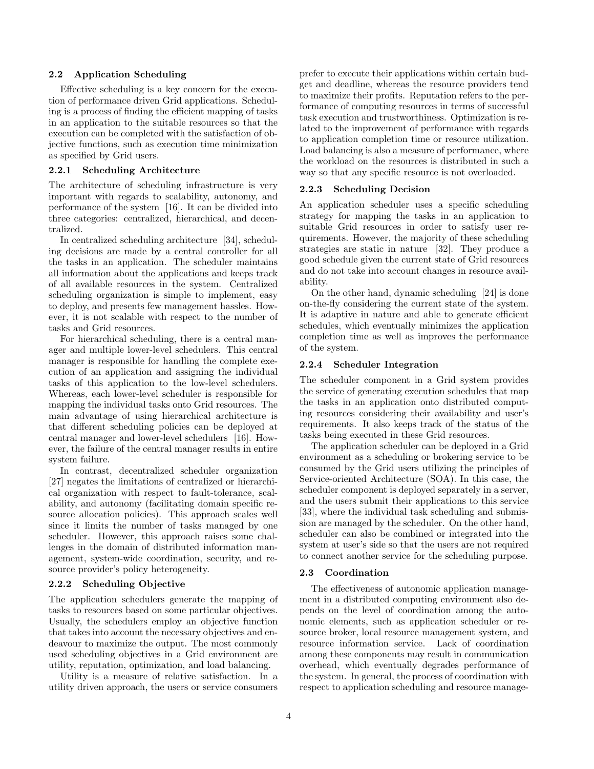## 2.2 Application Scheduling

Effective scheduling is a key concern for the execution of performance driven Grid applications. Scheduling is a process of finding the efficient mapping of tasks in an application to the suitable resources so that the execution can be completed with the satisfaction of objective functions, such as execution time minimization as specified by Grid users.

#### 2.2.1 Scheduling Architecture

The architecture of scheduling infrastructure is very important with regards to scalability, autonomy, and performance of the system [16]. It can be divided into three categories: centralized, hierarchical, and decentralized.

In centralized scheduling architecture [34], scheduling decisions are made by a central controller for all the tasks in an application. The scheduler maintains all information about the applications and keeps track of all available resources in the system. Centralized scheduling organization is simple to implement, easy to deploy, and presents few management hassles. However, it is not scalable with respect to the number of tasks and Grid resources.

For hierarchical scheduling, there is a central manager and multiple lower-level schedulers. This central manager is responsible for handling the complete execution of an application and assigning the individual tasks of this application to the low-level schedulers. Whereas, each lower-level scheduler is responsible for mapping the individual tasks onto Grid resources. The main advantage of using hierarchical architecture is that different scheduling policies can be deployed at central manager and lower-level schedulers [16]. However, the failure of the central manager results in entire system failure.

In contrast, decentralized scheduler organization [27] negates the limitations of centralized or hierarchical organization with respect to fault-tolerance, scalability, and autonomy (facilitating domain specific resource allocation policies). This approach scales well since it limits the number of tasks managed by one scheduler. However, this approach raises some challenges in the domain of distributed information management, system-wide coordination, security, and resource provider's policy heterogeneity.

## 2.2.2 Scheduling Objective

The application schedulers generate the mapping of tasks to resources based on some particular objectives. Usually, the schedulers employ an objective function that takes into account the necessary objectives and endeavour to maximize the output. The most commonly used scheduling objectives in a Grid environment are utility, reputation, optimization, and load balancing.

Utility is a measure of relative satisfaction. In a utility driven approach, the users or service consumers prefer to execute their applications within certain budget and deadline, whereas the resource providers tend to maximize their profits. Reputation refers to the performance of computing resources in terms of successful task execution and trustworthiness. Optimization is related to the improvement of performance with regards to application completion time or resource utilization. Load balancing is also a measure of performance, where the workload on the resources is distributed in such a way so that any specific resource is not overloaded.

#### 2.2.3 Scheduling Decision

An application scheduler uses a specific scheduling strategy for mapping the tasks in an application to suitable Grid resources in order to satisfy user requirements. However, the majority of these scheduling strategies are static in nature [32]. They produce a good schedule given the current state of Grid resources and do not take into account changes in resource availability.

On the other hand, dynamic scheduling [24] is done on-the-fly considering the current state of the system. It is adaptive in nature and able to generate efficient schedules, which eventually minimizes the application completion time as well as improves the performance of the system.

#### 2.2.4 Scheduler Integration

The scheduler component in a Grid system provides the service of generating execution schedules that map the tasks in an application onto distributed computing resources considering their availability and user's requirements. It also keeps track of the status of the tasks being executed in these Grid resources.

The application scheduler can be deployed in a Grid environment as a scheduling or brokering service to be consumed by the Grid users utilizing the principles of Service-oriented Architecture (SOA). In this case, the scheduler component is deployed separately in a server, and the users submit their applications to this service [33], where the individual task scheduling and submission are managed by the scheduler. On the other hand, scheduler can also be combined or integrated into the system at user's side so that the users are not required to connect another service for the scheduling purpose.

#### 2.3 Coordination

The effectiveness of autonomic application management in a distributed computing environment also depends on the level of coordination among the autonomic elements, such as application scheduler or resource broker, local resource management system, and resource information service. Lack of coordination among these components may result in communication overhead, which eventually degrades performance of the system. In general, the process of coordination with respect to application scheduling and resource manage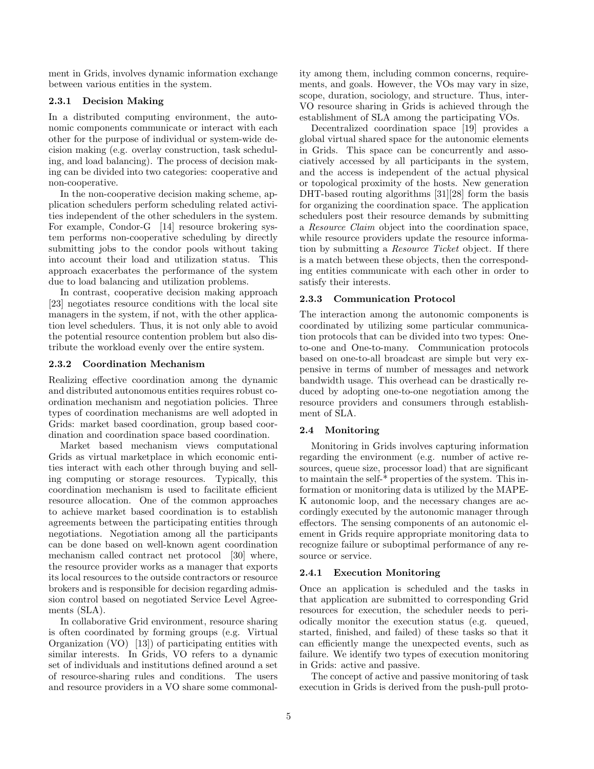ment in Grids, involves dynamic information exchange between various entities in the system.

## 2.3.1 Decision Making

In a distributed computing environment, the autonomic components communicate or interact with each other for the purpose of individual or system-wide decision making (e.g. overlay construction, task scheduling, and load balancing). The process of decision making can be divided into two categories: cooperative and non-cooperative.

In the non-cooperative decision making scheme, application schedulers perform scheduling related activities independent of the other schedulers in the system. For example, Condor-G [14] resource brokering system performs non-cooperative scheduling by directly submitting jobs to the condor pools without taking into account their load and utilization status. This approach exacerbates the performance of the system due to load balancing and utilization problems.

In contrast, cooperative decision making approach [23] negotiates resource conditions with the local site managers in the system, if not, with the other application level schedulers. Thus, it is not only able to avoid the potential resource contention problem but also distribute the workload evenly over the entire system.

## 2.3.2 Coordination Mechanism

Realizing effective coordination among the dynamic and distributed autonomous entities requires robust coordination mechanism and negotiation policies. Three types of coordination mechanisms are well adopted in Grids: market based coordination, group based coordination and coordination space based coordination.

Market based mechanism views computational Grids as virtual marketplace in which economic entities interact with each other through buying and selling computing or storage resources. Typically, this coordination mechanism is used to facilitate efficient resource allocation. One of the common approaches to achieve market based coordination is to establish agreements between the participating entities through negotiations. Negotiation among all the participants can be done based on well-known agent coordination mechanism called contract net protocol [30] where, the resource provider works as a manager that exports its local resources to the outside contractors or resource brokers and is responsible for decision regarding admission control based on negotiated Service Level Agreements (SLA).

In collaborative Grid environment, resource sharing is often coordinated by forming groups (e.g. Virtual Organization  $(VO)$  [13]) of participating entities with similar interests. In Grids, VO refers to a dynamic set of individuals and institutions defined around a set of resource-sharing rules and conditions. The users and resource providers in a VO share some commonality among them, including common concerns, requirements, and goals. However, the VOs may vary in size, scope, duration, sociology, and structure. Thus, inter-VO resource sharing in Grids is achieved through the establishment of SLA among the participating VOs.

Decentralized coordination space [19] provides a global virtual shared space for the autonomic elements in Grids. This space can be concurrently and associatively accessed by all participants in the system, and the access is independent of the actual physical or topological proximity of the hosts. New generation DHT-based routing algorithms [31][28] form the basis for organizing the coordination space. The application schedulers post their resource demands by submitting a Resource Claim object into the coordination space, while resource providers update the resource information by submitting a Resource Ticket object. If there is a match between these objects, then the corresponding entities communicate with each other in order to satisfy their interests.

## 2.3.3 Communication Protocol

The interaction among the autonomic components is coordinated by utilizing some particular communication protocols that can be divided into two types: Oneto-one and One-to-many. Communication protocols based on one-to-all broadcast are simple but very expensive in terms of number of messages and network bandwidth usage. This overhead can be drastically reduced by adopting one-to-one negotiation among the resource providers and consumers through establishment of SLA.

## 2.4 Monitoring

Monitoring in Grids involves capturing information regarding the environment (e.g. number of active resources, queue size, processor load) that are significant to maintain the self-\* properties of the system. This information or monitoring data is utilized by the MAPE-K autonomic loop, and the necessary changes are accordingly executed by the autonomic manager through effectors. The sensing components of an autonomic element in Grids require appropriate monitoring data to recognize failure or suboptimal performance of any resource or service.

## 2.4.1 Execution Monitoring

Once an application is scheduled and the tasks in that application are submitted to corresponding Grid resources for execution, the scheduler needs to periodically monitor the execution status (e.g. queued, started, finished, and failed) of these tasks so that it can efficiently mange the unexpected events, such as failure. We identify two types of execution monitoring in Grids: active and passive.

The concept of active and passive monitoring of task execution in Grids is derived from the push-pull proto-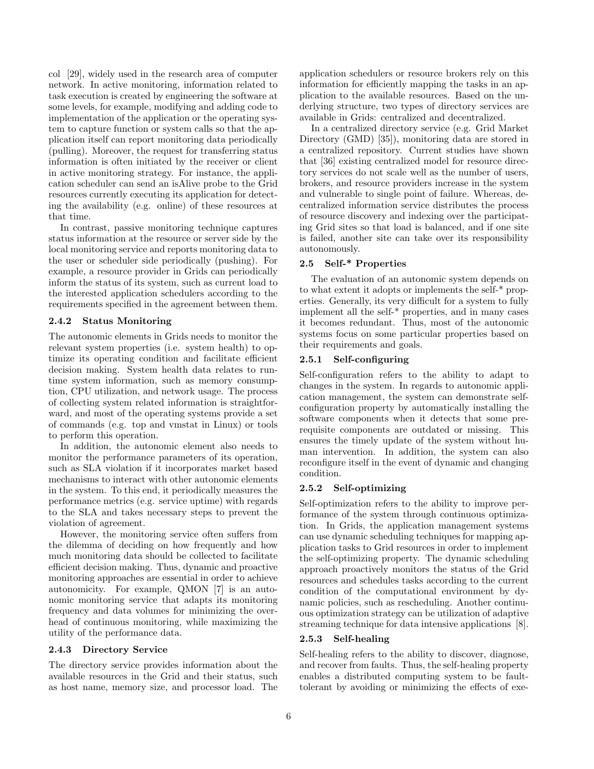col [29], widely used in the research area of computer network. In active monitoring, information related to task execution is created by engineering the software at some levels, for example, modifying and adding code to implementation of the application or the operating system to capture function or system calls so that the application itself can report monitoring data periodically (pulling). Moreover, the request for transferring status information is often initiated by the receiver or client in active monitoring strategy. For instance, the application scheduler can send an isAlive probe to the Grid resources currently executing its application for detecting the availability (e.g. online) of these resources at that time.

In contrast, passive monitoring technique captures status information at the resource or server side by the local monitoring service and reports monitoring data to the user or scheduler side periodically (pushing). For example, a resource provider in Grids can periodically inform the status of its system, such as current load to the interested application schedulers according to the requirements specified in the agreement between them.

## 2.4.2 Status Monitoring

The autonomic elements in Grids needs to monitor the relevant system properties (i.e. system health) to optimize its operating condition and facilitate efficient decision making. System health data relates to runtime system information, such as memory consumption, CPU utilization, and network usage. The process of collecting system related information is straightforward, and most of the operating systems provide a set of commands (e.g. top and vmstat in Linux) or tools to perform this operation.

In addition, the autonomic element also needs to monitor the performance parameters of its operation, such as SLA violation if it incorporates market based mechanisms to interact with other autonomic elements in the system. To this end, it periodically measures the performance metrics (e.g. service uptime) with regards to the SLA and takes necessary steps to prevent the violation of agreement.

However, the monitoring service often suffers from the dilemma of deciding on how frequently and how much monitoring data should be collected to facilitate efficient decision making. Thus, dynamic and proactive monitoring approaches are essential in order to achieve autonomicity. For example, QMON [7] is an autonomic monitoring service that adapts its monitoring frequency and data volumes for minimizing the overhead of continuous monitoring, while maximizing the utility of the performance data.

#### 2.4.3 Directory Service

The directory service provides information about the available resources in the Grid and their status, such as host name, memory size, and processor load. The application schedulers or resource brokers rely on this information for efficiently mapping the tasks in an application to the available resources. Based on the underlying structure, two types of directory services are available in Grids: centralized and decentralized.

In a centralized directory service (e.g. Grid Market Directory (GMD) [35]), monitoring data are stored in a centralized repository. Current studies have shown that [36] existing centralized model for resource directory services do not scale well as the number of users, brokers, and resource providers increase in the system and vulnerable to single point of failure. Whereas, decentralized information service distributes the process of resource discovery and indexing over the participating Grid sites so that load is balanced, and if one site is failed, another site can take over its responsibility autonomously.

## 2.5 Self-\* Properties

The evaluation of an autonomic system depends on to what extent it adopts or implements the self-\* properties. Generally, its very difficult for a system to fully implement all the self-\* properties, and in many cases it becomes redundant. Thus, most of the autonomic systems focus on some particular properties based on their requirements and goals.

#### 2.5.1 Self-configuring

Self-configuration refers to the ability to adapt to changes in the system. In regards to autonomic application management, the system can demonstrate selfconfiguration property by automatically installing the software components when it detects that some prerequisite components are outdated or missing. This ensures the timely update of the system without human intervention. In addition, the system can also reconfigure itself in the event of dynamic and changing condition.

## 2.5.2 Self-optimizing

Self-optimization refers to the ability to improve performance of the system through continuous optimization. In Grids, the application management systems can use dynamic scheduling techniques for mapping application tasks to Grid resources in order to implement the self-optimizing property. The dynamic scheduling approach proactively monitors the status of the Grid resources and schedules tasks according to the current condition of the computational environment by dynamic policies, such as rescheduling. Another continuous optimization strategy can be utilization of adaptive streaming technique for data intensive applications [8].

#### 2.5.3 Self-healing

Self-healing refers to the ability to discover, diagnose, and recover from faults. Thus, the self-healing property enables a distributed computing system to be faulttolerant by avoiding or minimizing the effects of exe-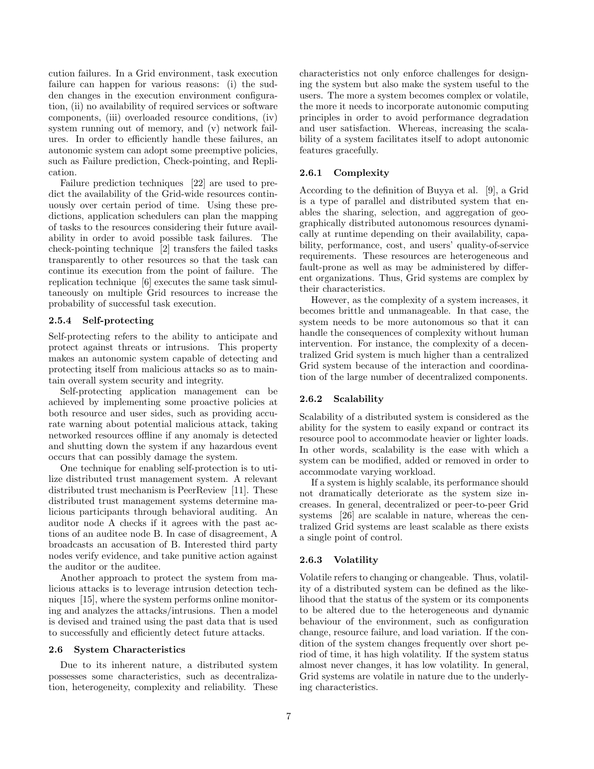cution failures. In a Grid environment, task execution failure can happen for various reasons: (i) the sudden changes in the execution environment configuration, (ii) no availability of required services or software components, (iii) overloaded resource conditions, (iv) system running out of memory, and (v) network failures. In order to efficiently handle these failures, an autonomic system can adopt some preemptive policies, such as Failure prediction, Check-pointing, and Replication.

Failure prediction techniques [22] are used to predict the availability of the Grid-wide resources continuously over certain period of time. Using these predictions, application schedulers can plan the mapping of tasks to the resources considering their future availability in order to avoid possible task failures. The check-pointing technique [2] transfers the failed tasks transparently to other resources so that the task can continue its execution from the point of failure. The replication technique [6] executes the same task simultaneously on multiple Grid resources to increase the probability of successful task execution.

## 2.5.4 Self-protecting

Self-protecting refers to the ability to anticipate and protect against threats or intrusions. This property makes an autonomic system capable of detecting and protecting itself from malicious attacks so as to maintain overall system security and integrity.

Self-protecting application management can be achieved by implementing some proactive policies at both resource and user sides, such as providing accurate warning about potential malicious attack, taking networked resources offline if any anomaly is detected and shutting down the system if any hazardous event occurs that can possibly damage the system.

One technique for enabling self-protection is to utilize distributed trust management system. A relevant distributed trust mechanism is PeerReview [11]. These distributed trust management systems determine malicious participants through behavioral auditing. An auditor node A checks if it agrees with the past actions of an auditee node B. In case of disagreement, A broadcasts an accusation of B. Interested third party nodes verify evidence, and take punitive action against the auditor or the auditee.

Another approach to protect the system from malicious attacks is to leverage intrusion detection techniques [15], where the system performs online monitoring and analyzes the attacks/intrusions. Then a model is devised and trained using the past data that is used to successfully and efficiently detect future attacks.

#### 2.6 System Characteristics

Due to its inherent nature, a distributed system possesses some characteristics, such as decentralization, heterogeneity, complexity and reliability. These characteristics not only enforce challenges for designing the system but also make the system useful to the users. The more a system becomes complex or volatile, the more it needs to incorporate autonomic computing principles in order to avoid performance degradation and user satisfaction. Whereas, increasing the scalability of a system facilitates itself to adopt autonomic features gracefully.

#### 2.6.1 Complexity

According to the definition of Buyya et al. [9], a Grid is a type of parallel and distributed system that enables the sharing, selection, and aggregation of geographically distributed autonomous resources dynamically at runtime depending on their availability, capability, performance, cost, and users' quality-of-service requirements. These resources are heterogeneous and fault-prone as well as may be administered by different organizations. Thus, Grid systems are complex by their characteristics.

However, as the complexity of a system increases, it becomes brittle and unmanageable. In that case, the system needs to be more autonomous so that it can handle the consequences of complexity without human intervention. For instance, the complexity of a decentralized Grid system is much higher than a centralized Grid system because of the interaction and coordination of the large number of decentralized components.

#### 2.6.2 Scalability

Scalability of a distributed system is considered as the ability for the system to easily expand or contract its resource pool to accommodate heavier or lighter loads. In other words, scalability is the ease with which a system can be modified, added or removed in order to accommodate varying workload.

If a system is highly scalable, its performance should not dramatically deteriorate as the system size increases. In general, decentralized or peer-to-peer Grid systems [26] are scalable in nature, whereas the centralized Grid systems are least scalable as there exists a single point of control.

#### 2.6.3 Volatility

Volatile refers to changing or changeable. Thus, volatility of a distributed system can be defined as the likelihood that the status of the system or its components to be altered due to the heterogeneous and dynamic behaviour of the environment, such as configuration change, resource failure, and load variation. If the condition of the system changes frequently over short period of time, it has high volatility. If the system status almost never changes, it has low volatility. In general, Grid systems are volatile in nature due to the underlying characteristics.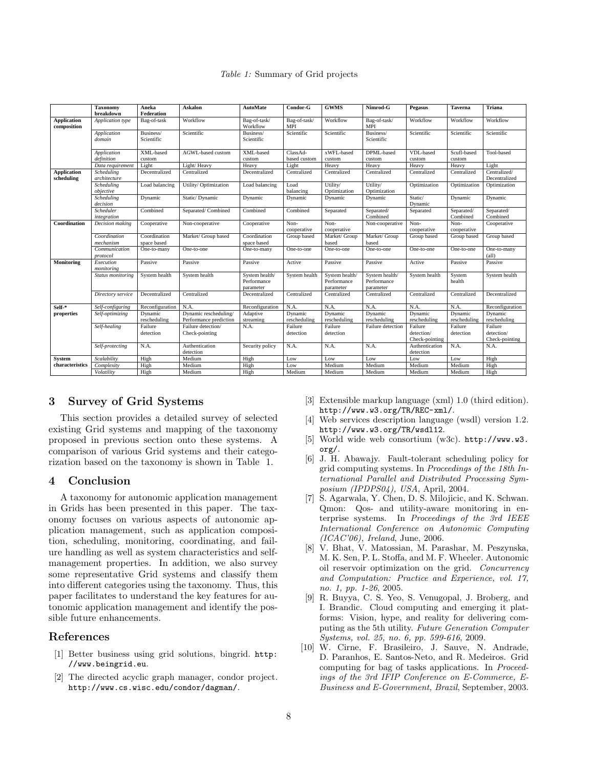|  | <i>Table 1:</i> Summary of Grid projects |  |  |
|--|------------------------------------------|--|--|
|--|------------------------------------------|--|--|

|                                   | <b>Taxonomy</b>                  | Aneka                       | <b>Askalon</b>                                  | <b>AutoMate</b>                            | Condor-G                   | <b>GWMS</b>                                | Nimrod-G                                   | Pegasus                                 | <b>Taverna</b>          | Triana                                  |
|-----------------------------------|----------------------------------|-----------------------------|-------------------------------------------------|--------------------------------------------|----------------------------|--------------------------------------------|--------------------------------------------|-----------------------------------------|-------------------------|-----------------------------------------|
|                                   | breakdown                        | Federation                  |                                                 |                                            |                            |                                            |                                            |                                         |                         |                                         |
| <b>Application</b><br>composition | Application type                 | Bag-of-task                 | Workflow                                        | Bag-of-task/<br>Workflow                   | Bag-of-task/<br><b>MPI</b> | Workflow                                   | Bag-of-task/<br>MPI                        | Workflow                                | Workflow                | Workflow                                |
|                                   | Application<br>domain            | Business/<br>Scientific     | Scientific                                      | Business/<br>Scientific                    | Scientific                 | Scientific                                 | Business/<br>Scientific                    | Scientific                              | Scientific              | Scientific                              |
|                                   | <b>Application</b><br>definition | XML-based<br>custom         | AGWL-based custom                               | XML-based<br>custom                        | ClassAd-<br>based custom   | xWFL-based<br>custom                       | DPML-based<br>custom                       | VDL-based<br>custom                     | Scufl-based<br>custom   | Tool-based                              |
|                                   | Data requirement                 | Light                       | Light/Heavy                                     | Heavy                                      | Light                      | Heavy                                      | Heavy                                      | Heavy                                   | Heavy                   | Light                                   |
| <b>Application</b><br>scheduling  | Scheduling<br>architecture       | Decentralized               | Centralized                                     | Decentralized                              | Centralized                | Centralized                                | Centralized                                | Centralized                             | Centralized             | Centralized/<br>Decentralized           |
|                                   | Scheduling<br>objective          | Load balancing              | Utility/Optimization                            | Load balancing                             | Load<br>balancing          | Utility/<br>Optimization                   | Utility/<br>Optimization                   | Optimization                            | Optimization            | Optimization                            |
|                                   | Scheduling<br>decision           | Dynamic                     | Static/Dynamic                                  | Dynamic                                    | Dynamic                    | Dynamic                                    | Dynamic                                    | Static/<br>Dynamic                      | Dynamic                 | Dynamic                                 |
|                                   | Scheduler<br>integration         | Combined                    | Separated/Combined                              | Combined                                   | Combined                   | Separated                                  | Separated/<br>Combined                     | Separated                               | Separated/<br>Combined  | Separated/<br>Combined                  |
| Coordination                      | Decision making                  | Cooperative                 | Non-cooperative                                 | Cooperative                                | Non-<br>cooperative        | Non-<br>cooperative                        | Non-cooperative                            | Non-<br>cooperative                     | Non-<br>cooperative     | Cooperative                             |
|                                   | Coordination<br>mechanism        | Coordination<br>space based | Market/ Group based                             | Coordination<br>space based                | Group based                | Market/ Group<br>based                     | Market/ Group<br>based                     | Group based                             | Group based             | Group based                             |
|                                   | Communication<br>protocol        | One-to-many                 | One-to-one                                      | One-to-many                                | One-to-one                 | One-to-one                                 | One-to-one                                 | One-to-one                              | One-to-one              | One-to-many<br>$\text{(all)}$           |
| Monitoring                        | Execution<br>monitoring          | Passive                     | Passive                                         | Passive                                    | Active                     | Passive                                    | Passive                                    | Active                                  | Passive                 | Passive                                 |
|                                   | Status monitoring                | System health               | System health                                   | System health/<br>Performance<br>parameter | System health              | System health/<br>Performance<br>parameter | System health/<br>Performance<br>parameter | System health                           | System<br>health        | System health                           |
|                                   | Directory service                | Decentralized               | Centralized                                     | Decentralized                              | Centralized                | Centralized                                | Centralized                                | Centralized                             | Centralized             | Decentralized                           |
| Self-*                            | Self-configuring                 | Reconfiguration             | N.A.                                            | Reconfiguration                            | N.A.                       | N.A.                                       | N.A.                                       | N.A.                                    | N.A.                    | Reconfiguration                         |
| properties                        | Self-optimizing                  | Dynamic<br>rescheduling     | Dynamic rescheduling/<br>Performance prediction | Adaptive<br>streaming                      | Dynamic<br>rescheduling    | Dynamic<br>rescheduling                    | Dynamic<br>rescheduling                    | Dynamic<br>rescheduling                 | Dynamic<br>rescheduling | Dynamic<br>rescheduling                 |
|                                   | Self-healing                     | Failure<br>detection        | Failure detection/<br>Check-pointing            | N.A.                                       | Failure<br>detection       | Failure<br>detection                       | Failure detection                          | Failure<br>detection/<br>Check-pointing | Failure<br>detection    | Failure<br>detection/<br>Check-pointing |
|                                   | Self-protecting                  | N.A.                        | Authentication<br>detection                     | Security policy                            | N.A.                       | N.A.                                       | N.A.                                       | Authentication<br>detection             | N.A.                    | N.A.                                    |
| System                            | Scalability                      | High                        | Medium                                          | High                                       | Low                        | Low                                        | Low                                        | Low                                     | Low                     | High                                    |
| characteristics                   | Complexity                       | High                        | Medium                                          | High                                       | Low                        | Medium                                     | Medium                                     | Medium                                  | Medium                  | High                                    |
|                                   | Volatility                       | High                        | Medium                                          | High                                       | Medium                     | Medium                                     | Medium                                     | Medium                                  | Medium                  | High                                    |

## 3 Survey of Grid Systems

This section provides a detailed survey of selected existing Grid systems and mapping of the taxonomy proposed in previous section onto these systems. A comparison of various Grid systems and their categorization based on the taxonomy is shown in Table 1.

#### 4 Conclusion

A taxonomy for autonomic application management in Grids has been presented in this paper. The taxonomy focuses on various aspects of autonomic application management, such as application composition, scheduling, monitoring, coordinating, and failure handling as well as system characteristics and selfmanagement properties. In addition, we also survey some representative Grid systems and classify them into different categories using the taxonomy. Thus, this paper facilitates to understand the key features for autonomic application management and identify the possible future enhancements.

## References

- [1] Better business using grid solutions, bingrid. http: //www.beingrid.eu.
- [2] The directed acyclic graph manager, condor project. http://www.cs.wisc.edu/condor/dagman/.
- [3] Extensible markup language (xml) 1.0 (third edition). http://www.w3.org/TR/REC-xml/.
- [4] Web services description language (wsdl) version 1.2. http://www.w3.org/TR/wsdl12.
- [5] World wide web consortium (w3c). http://www.w3. org/.
- [6] J. H. Abawajy. Fault-tolerant scheduling policy for grid computing systems. In Proceedings of the 18th International Parallel and Distributed Processing Symposium (IPDPS04), USA, April, 2004.
- [7] S. Agarwala, Y. Chen, D. S. Milojicic, and K. Schwan. Qmon: Qos- and utility-aware monitoring in enterprise systems. In Proceedings of the 3rd IEEE International Conference on Autonomic Computing  $(ICAC'06)$ , Ireland, June, 2006.
- [8] V. Bhat, V. Matossian, M. Parashar, M. Peszynska, M. K. Sen, P. L. Stoffa, and M. F. Wheeler. Autonomic oil reservoir optimization on the grid. Concurrency and Computation: Practice and Experience, vol. 17, no. 1, pp. 1-26, 2005.
- [9] R. Buyya, C. S. Yeo, S. Venugopal, J. Broberg, and I. Brandic. Cloud computing and emerging it platforms: Vision, hype, and reality for delivering computing as the 5th utility. Future Generation Computer Systems, vol. 25, no. 6, pp. 599-616, 2009.
- [10] W. Cirne, F. Brasileiro, J. Sauve, N. Andrade, D. Paranhos, E. Santos-Neto, and R. Medeiros. Grid computing for bag of tasks applications. In Proceedings of the 3rd IFIP Conference on E-Commerce, E-Business and E-Government, Brazil, September, 2003.